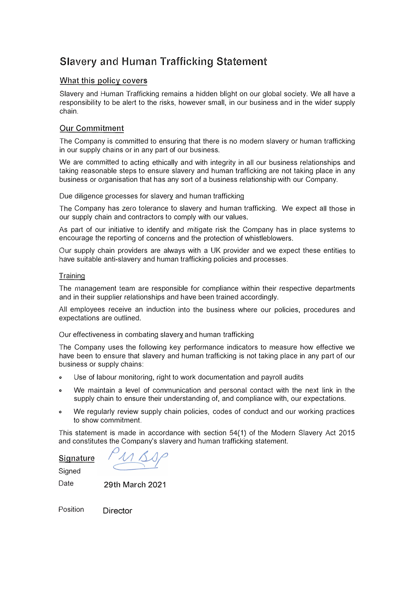# Slavery and Human Trafficking Statement

#### What this policy covers

Slavery and Human Trafficking remains a hidden blight on our global society. We all have a responsibility to be alert to the risks, however small, in our business and in the wider supply chain.

### Our Commitment

The Company is committed to ensuring that there is no modern slavery *or* human trafficking in our supply chains or in any part of our business.

We are committed to acting ethically and with integrity in all our business relationships and taking reasonable steps to ensure slavery and human trafficking are not taking place in any business *or* organisation that has any sort of a business relationship with our Company.

Due diligence processes for slavery and human trafficking

The Company has zero tolerance to slavery and human trafficking. We expect all those in our supply chain and contractors to comply with our values.

As part of our initiative to identify and mitigate risk the Company has in place systems to encourage the reporting of concerns and the protection of whistleblowers.

Our supply chain providers are always with a UK provider and we expect these entities to have suitable anti-slavery and human trafficking policies and processes.

#### **Training**

The management team are responsible for compliance within their respective departments and in their supplier relationships and have been trained accordingly.

All employees receive an induction into the business where our policies, procedures and expectations are outlined.

Our effectiveness in combating slavery and human trafficking

The Company uses the following key performance indicators to measure how effective we have been to ensure that slavery and human trafficking is not taking place in any part of our business or supply chains:

- **<sup>o</sup>**Use of labour monitoring, right to work documentation and payroll audits
- We maintain a level of communication and personal contact with the next link in the supply chain to ensure their understanding of, and compliance with, our expectations.
- **<sup>o</sup>**We regularly review supply chain policies, codes of conduct and our working practices to show commitment.

This statement is made in accordance with section 54(1) of the Modern Slavery Act 2015 and constitutes the Company's slavery and human trafficking statement.

Signature

**Signed** 

**Date** 

29th March 2021

| Position | <b>Dire</b> |
|----------|-------------|
|----------|-------------|

ctor